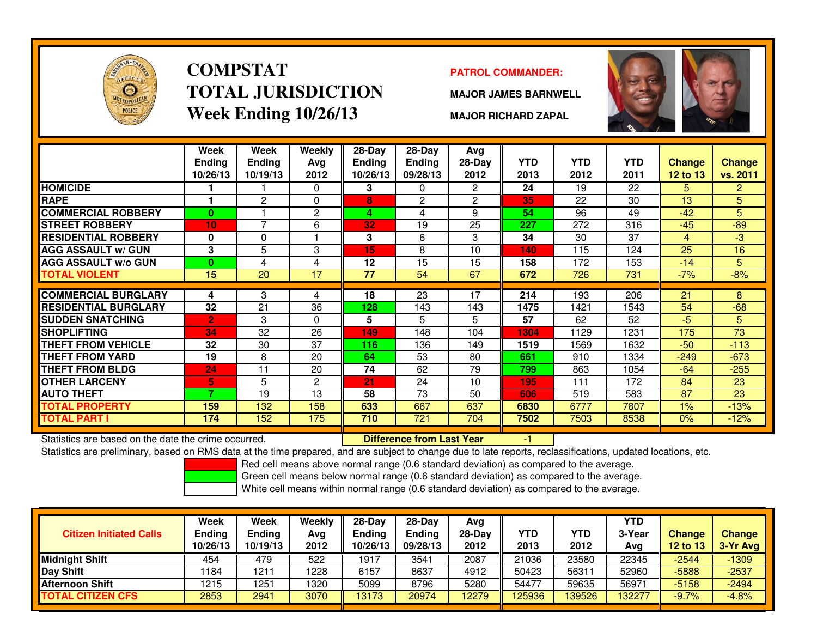

# **COMPSTATTOTAL JURISDICTIONWeek Ending 10/26/13**

### **PATROL COMMANDER:**

**MAJOR JAMES BARNWELL**



**MAJOR RICHARD ZAPAL**

|                             | Week<br><b>Ending</b><br>10/26/13 | Week<br><b>Ending</b><br>10/19/13 | Weekly<br>Ava<br>2012 | $28$ -Day<br>Ending<br>10/26/13 | $28 - Day$<br><b>Ending</b><br>09/28/13 | Avg<br>$28-Day$<br>2012 | <b>YTD</b><br>2013 | <b>YTD</b><br>2012 | <b>YTD</b><br>2011 | <b>Change</b><br>12 to 13 | <b>Change</b><br>vs. 2011 |
|-----------------------------|-----------------------------------|-----------------------------------|-----------------------|---------------------------------|-----------------------------------------|-------------------------|--------------------|--------------------|--------------------|---------------------------|---------------------------|
| <b>HOMICIDE</b>             |                                   |                                   | 0                     | 3                               | $\Omega$                                | $\mathbf{2}^{\circ}$    | 24                 | 19                 | 22                 | 5                         | $\overline{2}$            |
| <b>RAPE</b>                 |                                   | 2                                 | 0                     | 8                               | 2                                       | $\overline{2}$          | 35                 | 22                 | 30                 | 13                        | 5                         |
| <b>COMMERCIAL ROBBERY</b>   | $\bf{0}$                          |                                   | $\overline{c}$        | 4                               | 4                                       | 9                       | 54                 | 96                 | 49                 | $-42$                     | 5                         |
| <b>STREET ROBBERY</b>       | 10                                | $\overline{7}$                    | 6                     | 32                              | 19                                      | 25                      | 227                | 272                | 316                | $-45$                     | $-89$                     |
| <b>RESIDENTIAL ROBBERY</b>  | 0                                 | $\Omega$                          |                       | 3                               | 6                                       | 3                       | 34                 | 30                 | 37                 | 4                         | $-3$                      |
| <b>AGG ASSAULT w/ GUN</b>   | 3                                 | 5                                 | 3                     | 15                              | 8                                       | 10                      | 140                | 115                | 124                | 25                        | 16                        |
| <b>AGG ASSAULT w/o GUN</b>  | $\bf{0}$                          | 4                                 | 4                     | 12                              | 15                                      | 15                      | 158                | 172                | 153                | $-14$                     | 5.                        |
| <b>TOTAL VIOLENT</b>        | 15                                | 20                                | 17                    | 77                              | 54                                      | 67                      | 672                | 726                | 731                | $-7%$                     | $-8%$                     |
|                             |                                   |                                   |                       |                                 |                                         |                         |                    |                    |                    |                           |                           |
| <b>COMMERCIAL BURGLARY</b>  | 4                                 | 3                                 | 4                     | 18                              | $\overline{23}$                         | 17                      | 214                | 193                | 206                | $\overline{21}$           | 8                         |
| <b>RESIDENTIAL BURGLARY</b> | 32                                | 21                                | 36                    | 128                             | 143                                     | 143                     | 1475               | 1421               | 1543               | 54                        | $-68$                     |
| <b>SUDDEN SNATCHING</b>     | $\overline{2}$                    | 3                                 | $\Omega$              | 5                               | 5                                       | 5                       | 57                 | 62                 | 52                 | -5                        | 5                         |
| <b>SHOPLIFTING</b>          | 34                                | 32                                | 26                    | 149                             | 148                                     | 104                     | 1304               | 1129               | 1231               | 175                       | 73                        |
| <b>THEFT FROM VEHICLE</b>   | 32                                | 30                                | 37                    | 116                             | 136                                     | 149                     | 1519               | 1569               | 1632               | $-50$                     | $-113$                    |
| <b>THEFT FROM YARD</b>      | 19                                | 8                                 | 20                    | 64                              | 53                                      | 80                      | 661                | 910                | 1334               | $-249$                    | $-673$                    |
| <b>THEFT FROM BLDG</b>      | 24                                | 11                                | 20                    | 74                              | 62                                      | 79                      | 799                | 863                | 1054               | $-64$                     | $-255$                    |
| <b>OTHER LARCENY</b>        | 5                                 | 5                                 | $\overline{c}$        | 21                              | 24                                      | 10                      | 195                | 111                | 172                | 84                        | 23                        |
| <b>AUTO THEFT</b>           | 7                                 | 19                                | 13                    | 58                              | 73                                      | 50                      | 606                | 519                | 583                | 87                        | 23                        |
| <b>TOTAL PROPERTY</b>       | 159                               | 132                               | 158                   | 633                             | 667                                     | 637                     | 6830               | 6777               | 7807               | $1\%$                     | $-13%$                    |
| TOTAL PART I                | 174                               | 152                               | 175                   | 710                             | 721                                     | 704                     | 7502               | 7503               | 8538               | 0%                        | $-12%$                    |

Statistics are based on the date the crime occurred. **Difference from Last Year** 

Statistics are based on the date the crime occurred. **[1] Letter Lubber 10 Letter Conduct Statistics are based on the date the crime occurred.**<br>Statistics are preliminary, based on RMS data at the time prepared, and are su

Red cell means above normal range (0.6 standard deviation) as compared to the average.

Green cell means below normal range (0.6 standard deviation) as compared to the average.

| <b>Citizen Initiated Calls</b> | Week<br><b>Ending</b><br>10/26/13 | Week<br><b>Ending</b><br>10/19/13 | Weekly<br>Avg<br>2012 | $28-Dav$<br><b>Ending</b><br>10/26/13 | 28-Dav<br><b>Ending</b><br>09/28/13 | Avg<br>28-Dav<br>2012 | YTD<br>2013 | YTD<br>2012 | YTD<br>3-Year<br>Avg | <b>Change</b><br><b>12 to 13</b> | Change<br>3-Yr Avg |
|--------------------------------|-----------------------------------|-----------------------------------|-----------------------|---------------------------------------|-------------------------------------|-----------------------|-------------|-------------|----------------------|----------------------------------|--------------------|
| <b>Midnight Shift</b>          | 454                               | 479                               | 522                   | 1917                                  | 3541                                | 2087                  | 21036       | 23580       | 22345                | $-2544$                          | $-1309$            |
| Day Shift                      | 1184                              | 1211                              | 1228                  | 6157                                  | 8637                                | 4912                  | 50423       | 56311       | 52960                | $-5888$                          | $-2537$            |
| <b>Afternoon Shift</b>         | 1215                              | 1251                              | 1320                  | 5099                                  | 8796                                | 5280                  | 54477       | 59635       | 5697                 | $-5158$                          | $-2494$            |
| <b>TOTAL CITIZEN CFS</b>       | 2853                              | 2941                              | 3070                  | 13173                                 | 20974                               | 12279                 | 125936      | 139526      | 32277                | $-9.7%$                          | $-4.8%$            |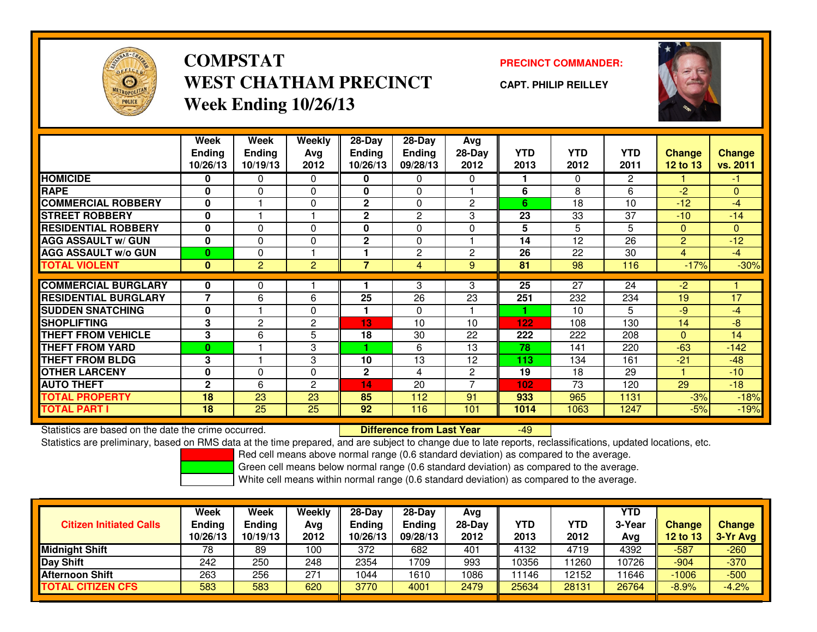

### **COMPSTATPRECINCT COMMANDER:**<br>
PRECINCT COMMANDER: **WEST CHATHAM PRECINCTWeek Ending 10/26/13**

**CAPT. PHILIP REILLEY**



|                             | Week           | Week           | Weekly         | 28-Day        | 28-Day         | Avg            |            |            |                |                |                |
|-----------------------------|----------------|----------------|----------------|---------------|----------------|----------------|------------|------------|----------------|----------------|----------------|
|                             | <b>Ending</b>  | <b>Ending</b>  | Avg            | <b>Ending</b> | <b>Ending</b>  | 28-Day         | <b>YTD</b> | <b>YTD</b> | <b>YTD</b>     | <b>Change</b>  | <b>Change</b>  |
|                             | 10/26/13       | 10/19/13       | 2012           | 10/26/13      | 09/28/13       | 2012           | 2013       | 2012       | 2011           | 12 to 13       | vs. 2011       |
| <b>HOMICIDE</b>             | 0              | 0              | $\Omega$       | 0             | 0              | $\Omega$       |            | $\Omega$   | $\overline{2}$ |                | $-1$           |
| <b>RAPE</b>                 | 0              | 0              | $\Omega$       | 0             | $\Omega$       |                | 6          | 8          | 6              | $-2$           | $\overline{0}$ |
| <b>COMMERCIAL ROBBERY</b>   | $\mathbf{0}$   |                | 0              | $\mathbf{2}$  | $\Omega$       | $\overline{2}$ | 6          | 18         | 10             | $-12$          | $-4$           |
| <b>STREET ROBBERY</b>       | 0              |                |                | $\mathbf{2}$  | $\overline{2}$ | 3              | 23         | 33         | 37             | $-10$          | $-14$          |
| <b>RESIDENTIAL ROBBERY</b>  | 0              | 0              | $\Omega$       | 0             | $\Omega$       | $\Omega$       | 5          | 5          | 5              | $\Omega$       | $\overline{0}$ |
| <b>AGG ASSAULT w/ GUN</b>   | $\bf{0}$       | $\mathbf{0}$   | 0              | $\mathbf{2}$  | $\Omega$       |                | 14         | 12         | 26             | $\overline{2}$ | $-12$          |
| <b>AGG ASSAULT w/o GUN</b>  | 0              | 0              |                |               | 2              | $\overline{c}$ | 26         | 22         | 30             | 4              | $-4$           |
| <b>TOTAL VIOLENT</b>        | $\bf{0}$       | $\overline{2}$ | $\overline{2}$ | 7             | 4              | 9              | 81         | 98         | 116            | $-17%$         | $-30%$         |
|                             |                |                |                |               |                |                |            |            |                |                |                |
| <b>COMMERCIAL BURGLARY</b>  | 0              | 0              |                |               | 3              | 3              | 25         | 27         | 24             | $-2$           |                |
| <b>RESIDENTIAL BURGLARY</b> | $\overline{7}$ | 6              | 6              | 25            | 26             | 23             | 251        | 232        | 234            | 19             | 17             |
| <b>SUDDEN SNATCHING</b>     | $\bf{0}$       |                | $\Omega$       |               | $\Omega$       |                |            | 10         | 5              | $-9$           | $-4$           |
| <b>SHOPLIFTING</b>          | 3              | $\mathbf{2}$   | 2              | 13            | 10             | 10             | 122        | 108        | 130            | 14             | -8             |
| <b>THEFT FROM VEHICLE</b>   | 3              | 6              | 5              | 18            | 30             | 22             | 222        | 222        | 208            | $\Omega$       | 14             |
| <b>THEFT FROM YARD</b>      | 0              |                | 3              |               | 6              | 13             | 78         | 141        | 220            | $-63$          | $-142$         |
| <b>THEFT FROM BLDG</b>      | 3              |                | 3              | 10            | 13             | 12             | 113        | 134        | 161            | $-21$          | $-48$          |
| <b>OTHER LARCENY</b>        | $\bf{0}$       | $\mathbf{0}$   | 0              | $\mathbf{2}$  | 4              | $\mathbf{2}$   | 19         | 18         | 29             |                | $-10$          |
| <b>AUTO THEFT</b>           | $\overline{2}$ | 6              | $\overline{c}$ | 14            | 20             | 7              | 102        | 73         | 120            | 29             | $-18$          |
| <b>TOTAL PROPERTY</b>       | 18             | 23             | 23             | 85            | 112            | 91             | 933        | 965        | 1131           | $-3%$          | $-18%$         |
| <b>TOTAL PART I</b>         | 18             | 25             | 25             | 92            | 116            | 101            | 1014       | 1063       | 1247           | $-5%$          | $-19%$         |

Statistics are based on the date the crime occurred. **Difference from Last Year** 

-49

Statistics are preliminary, based on RMS data at the time prepared, and are subject to change due to late reports, reclassifications, updated locations, etc.

Red cell means above normal range (0.6 standard deviation) as compared to the average.

Green cell means below normal range (0.6 standard deviation) as compared to the average.

|                                | <b>Week</b>               | Week                      | Weekly      | $28-Day$                  | $28-Dav$           | Avg              |                    |             | <b>YTD</b>    |                    |                             |
|--------------------------------|---------------------------|---------------------------|-------------|---------------------------|--------------------|------------------|--------------------|-------------|---------------|--------------------|-----------------------------|
| <b>Citizen Initiated Calls</b> | <b>Ending</b><br>10/26/13 | <b>Ending</b><br>10/19/13 | Avg<br>2012 | <b>Ending</b><br>10/26/13 | Ending<br>09/28/13 | $28-Dav$<br>2012 | <b>YTD</b><br>2013 | YTD<br>2012 | 3-Year<br>Avg | Change<br>12 to 13 | <b>Change</b><br>$3-Yr$ Avg |
| <b>Midnight Shift</b>          | 78                        | 89                        | 100         | 372                       | 682                | 401              | 4132               | 4719        | 4392          | $-587$             | $-260$                      |
| Day Shift                      | 242                       | 250                       | 248         | 2354                      | 1709               | 993              | 10356              | 11260       | 10726         | $-904$             | $-370$                      |
| <b>Afternoon Shift</b>         | 263                       | 256                       | 271         | 1044                      | 1610               | 1086             | 11146              | 12152       | 1646          | $-1006$            | $-500$                      |
| <b>TOTAL CITIZEN CFS</b>       | 583                       | 583                       | 620         | 3770                      | 4001               | 2479             | 25634              | 28131       | 26764         | $-8.9%$            | $-4.2%$                     |
|                                |                           |                           |             |                           |                    |                  |                    |             |               |                    |                             |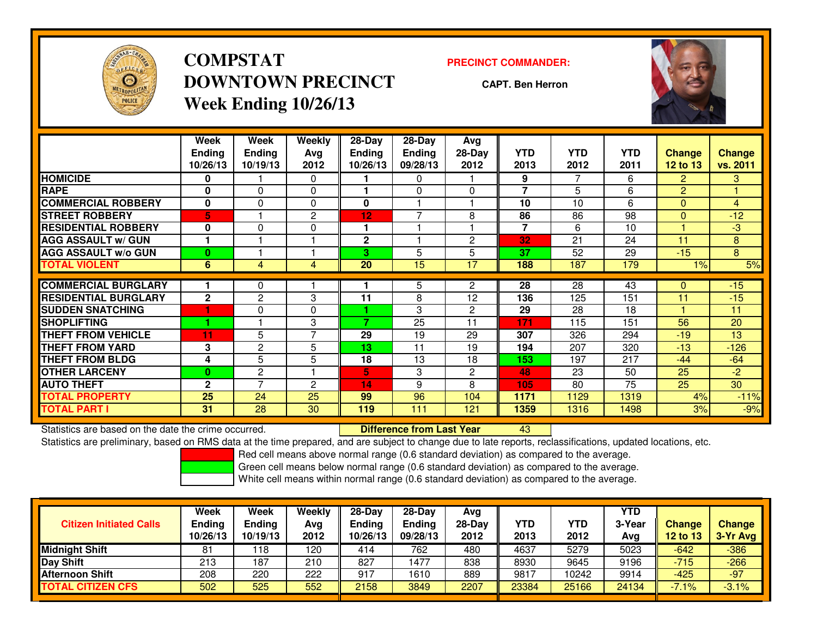

**COMPSTATDOWNTOWN PRECINCTWeek Ending 10/26/13**

### **PRECINCT COMMANDER:**

**CAPT. Ben Herron**

<sup>43</sup>



|                             | Week<br><b>Ending</b><br>10/26/13 | Week<br><b>Ending</b><br>10/19/13 | Weekly<br>Avg<br>2012 | 28-Day<br><b>Ending</b><br>10/26/13 | 28-Dav<br>Ending<br>09/28/13 | Avg<br>28-Day<br>2012 | <b>YTD</b><br>2013 | <b>YTD</b><br>2012 | <b>YTD</b><br>2011 | <b>Change</b><br><b>12 to 13</b> | <b>Change</b><br>vs. 2011 |
|-----------------------------|-----------------------------------|-----------------------------------|-----------------------|-------------------------------------|------------------------------|-----------------------|--------------------|--------------------|--------------------|----------------------------------|---------------------------|
| <b>HOMICIDE</b>             | 0                                 |                                   | 0                     |                                     | 0                            |                       | 9                  |                    | 6                  | $\overline{2}$                   | 3.                        |
| <b>RAPE</b>                 | $\bf{0}$                          | $\Omega$                          | 0                     |                                     | $\Omega$                     | $\Omega$              | 7                  | 5                  | 6                  | $\overline{2}$                   |                           |
| <b>COMMERCIAL ROBBERY</b>   | $\bf{0}$                          | 0                                 | 0                     | $\bf{0}$                            |                              |                       | 10                 | 10                 | 6                  | $\Omega$                         | 4                         |
| <b>STREET ROBBERY</b>       | 5                                 |                                   | 2                     | 12                                  | $\overline{ }$               | 8                     | 86                 | 86                 | 98                 | $\mathbf{0}$                     | $-12$                     |
| <b>RESIDENTIAL ROBBERY</b>  | 0                                 | 0                                 | 0                     |                                     |                              |                       | 7                  | 6                  | 10                 |                                  | $-3$                      |
| <b>AGG ASSAULT W/ GUN</b>   |                                   |                                   |                       | $\mathbf{2}$                        |                              | $\overline{2}$        | 32                 | 21                 | 24                 | 11                               | 8                         |
| <b>AGG ASSAULT w/o GUN</b>  | $\bf{0}$                          |                                   |                       | 3                                   | 5                            | 5                     | 37                 | 52                 | 29                 | $-15$                            | 8                         |
| <b>TOTAL VIOLENT</b>        | 6                                 | 4                                 | 4                     | 20                                  | 15                           | 17                    | 188                | 187                | 179                | $1\%$                            | 5%                        |
| <b>COMMERCIAL BURGLARY</b>  |                                   |                                   |                       |                                     |                              |                       |                    | 28                 |                    |                                  | $-15$                     |
|                             |                                   | 0                                 |                       |                                     | 5                            | $\overline{c}$        | 28                 |                    | 43                 | $\mathbf{0}$                     |                           |
| <b>RESIDENTIAL BURGLARY</b> | $\mathbf{2}$                      | $\overline{2}$                    | 3                     | 11                                  | 8                            | 12                    | 136                | 125                | 151                | 11                               | $-15$                     |
| <b>SUDDEN SNATCHING</b>     |                                   | 0                                 | 0                     |                                     | 3                            | $\overline{2}$        | 29                 | 28                 | 18                 |                                  | 11                        |
| <b>SHOPLIFTING</b>          |                                   |                                   | 3                     | 7                                   | 25                           | 11                    | 171                | 115                | 151                | 56                               | 20                        |
| <b>THEFT FROM VEHICLE</b>   | 11                                | 5                                 | 7                     | 29                                  | 19                           | 29                    | 307                | 326                | 294                | $-19$                            | 13                        |
| <b>THEFT FROM YARD</b>      | 3                                 | 2                                 | 5                     | 13                                  | 11                           | 19                    | 194                | 207                | 320                | $-13$                            | $-126$                    |
| <b>THEFT FROM BLDG</b>      | 4                                 | 5                                 | 5                     | 18                                  | 13                           | 18                    | 153                | 197                | 217                | $-44$                            | $-64$                     |
| <b>OTHER LARCENY</b>        | $\bf{0}$                          | 2                                 | и                     | 5                                   | 3                            | $\overline{2}$        | 48                 | 23                 | 50                 | 25                               | $-2$                      |
| <b>AUTO THEFT</b>           | $\mathbf{2}$                      | ⇁                                 | 2                     | 14                                  | 9                            | 8                     | 105                | 80                 | 75                 | 25                               | 30                        |
| TOTAL PROPERTY              | 25                                | 24                                | 25                    | 99                                  | 96                           | 104                   | 1171               | 1129               | 1319               | 4%                               | $-11%$                    |
| <b>TOTAL PART I</b>         | 31                                | 28                                | 30                    | 119                                 | 111                          | 121                   | 1359               | 1316               | 1498               | 3%                               | $-9%$                     |

Statistics are based on the date the crime occurred. **Difference from Last Year** 

Statistics are preliminary, based on RMS data at the time prepared, and are subject to change due to late reports, reclassifications, updated locations, etc.

Red cell means above normal range (0.6 standard deviation) as compared to the average.

Green cell means below normal range (0.6 standard deviation) as compared to the average.

|                                | Week          | Week          | Weekly | $28-Day$      | 28-Dav        | Avg    |       |            | <b>YTD</b> |               |               |
|--------------------------------|---------------|---------------|--------|---------------|---------------|--------|-------|------------|------------|---------------|---------------|
| <b>Citizen Initiated Calls</b> | <b>Ending</b> | <b>Endina</b> | Avg    | <b>Ending</b> | <b>Ending</b> | 28-Dav | YTD   | <b>YTD</b> | 3-Year     | <b>Change</b> | <b>Change</b> |
|                                | 10/26/13      | 10/19/13      | 2012   | 10/26/13      | 09/28/13      | 2012   | 2013  | 2012       | Avg        | 12 to 13      | 3-Yr Avg      |
| <b>Midnight Shift</b>          | 81            | 18            | 120    | 414           | 762           | 480    | 4637  | 5279       | 5023       | $-642$        | $-386$        |
| Day Shift                      | 213           | 187           | 210    | 827           | 1477          | 838    | 8930  | 9645       | 9196       | $-715$        | $-266$        |
| <b>Afternoon Shift</b>         | 208           | 220           | 222    | 917           | 1610          | 889    | 9817  | 10242      | 9914       | $-425$        | $-97$         |
| <b>TOTAL CITIZEN CFS</b>       | 502           | 525           | 552    | 2158          | 3849          | 2207   | 23384 | 25166      | 24134      | $-7.1%$       | $-3.1%$       |
|                                |               |               |        |               |               |        |       |            |            |               |               |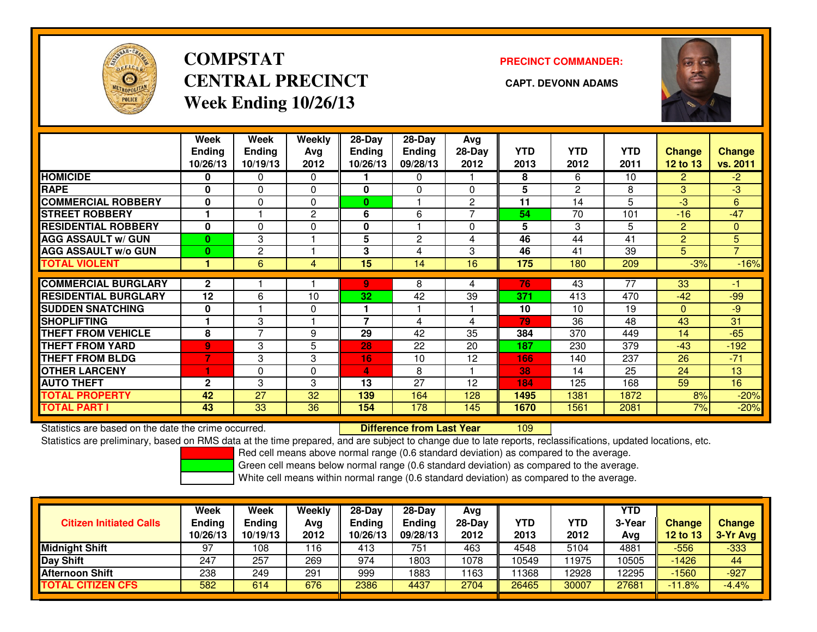

# **COMPSTATCENTRAL PRECINCT CAPT. DEVONN ADAMSWeek Ending 10/26/13**

### **PRECINCT COMMANDER:**



|                             | Week<br><b>Ending</b><br>10/26/13 | Week<br><b>Ending</b><br>10/19/13 | Weekly<br>Avg<br>2012 | $28-Day$<br>Endina<br>10/26/13 | $28-Dav$<br><b>Ending</b><br>09/28/13 | Avg<br>28-Day<br>2012 | <b>YTD</b><br>2013 | <b>YTD</b><br>2012 | <b>YTD</b><br>2011 | <b>Change</b><br>12 to 13 | <b>Change</b><br>vs. 2011 |
|-----------------------------|-----------------------------------|-----------------------------------|-----------------------|--------------------------------|---------------------------------------|-----------------------|--------------------|--------------------|--------------------|---------------------------|---------------------------|
| <b>HOMICIDE</b>             | $\bf{0}$                          | 0                                 | $\Omega$              |                                | 0                                     |                       | 8                  | 6                  | 10                 | $\overline{2}$            | $-2$                      |
| <b>RAPE</b>                 | $\bf{0}$                          | $\Omega$                          | $\Omega$              | 0                              | $\Omega$                              | 0                     | 5                  | 2                  | 8                  | 3                         | $-3$                      |
| <b>COMMERCIAL ROBBERY</b>   | $\bf{0}$                          | $\Omega$                          | 0                     | $\bf{0}$                       |                                       | $\overline{2}$        | 11                 | 14                 | 5                  | $-3$                      | 6                         |
| <b>STREET ROBBERY</b>       |                                   |                                   | $\overline{c}$        | 6                              | 6                                     | 7                     | 54                 | 70                 | 101                | $-16$                     | $-47$                     |
| <b>RESIDENTIAL ROBBERY</b>  | $\bf{0}$                          | $\Omega$                          | $\Omega$              | 0                              |                                       | 0                     | 5                  | 3                  | 5                  | 2                         | $\overline{0}$            |
| <b>AGG ASSAULT w/ GUN</b>   | $\bf{0}$                          | 3                                 |                       | 5                              | $\overline{2}$                        | 4                     | 46                 | 44                 | 41                 | 2                         | 5 <sup>1</sup>            |
| <b>AGG ASSAULT w/o GUN</b>  | $\bf{0}$                          | 2                                 |                       | 3                              | 4                                     | 3                     | 46                 | 41                 | 39                 | 5                         | $\overline{7}$            |
| <b>TOTAL VIOLENT</b>        |                                   | 6                                 | 4                     | 15                             | 14                                    | 16                    | 175                | 180                | 209                | $-3%$                     | $-16%$                    |
|                             |                                   |                                   |                       |                                |                                       |                       |                    |                    |                    |                           |                           |
| <b>COMMERCIAL BURGLARY</b>  | $\mathbf{2}$                      |                                   |                       | 9.                             | 8                                     | 4                     | 76                 | 43                 | $\overline{77}$    | $\overline{33}$           | -1                        |
| <b>RESIDENTIAL BURGLARY</b> | 12                                | 6                                 | 10                    | 32                             | 42                                    | 39                    | 371                | 413                | 470                | $-42$                     | $-99$                     |
| <b>SUDDEN SNATCHING</b>     | $\mathbf 0$                       |                                   | 0                     |                                |                                       |                       | 10                 | 10                 | 19                 | $\mathbf{0}$              | $-9$                      |
| <b>SHOPLIFTING</b>          |                                   | 3                                 |                       | 7                              | 4                                     | 4                     | 79                 | 36                 | 48                 | 43                        | 31                        |
| <b>THEFT FROM VEHICLE</b>   | 8                                 | 7                                 | 9                     | 29                             | 42                                    | 35                    | 384                | 370                | 449                | 14                        | $-65$                     |
| <b>THEFT FROM YARD</b>      | $\overline{9}$                    | 3                                 | 5                     | 28                             | 22                                    | 20                    | 187                | 230                | 379                | $-43$                     | $-192$                    |
| <b>THEFT FROM BLDG</b>      | $\overline{7}$                    | 3                                 | 3                     | 16                             | 10                                    | 12                    | 166                | 140                | 237                | 26                        | $-71$                     |
| <b>OTHER LARCENY</b>        | 1                                 | $\Omega$                          | 0                     | 4                              | 8                                     |                       | 38                 | 14                 | 25                 | 24                        | 13                        |
| <b>AUTO THEFT</b>           | $\mathbf{2}$                      | 3                                 | 3                     | 13                             | 27                                    | 12                    | 184                | 125                | 168                | 59                        | 16                        |
| <b>TOTAL PROPERTY</b>       | 42                                | 27                                | 32                    | 139                            | 164                                   | 128                   | 1495               | 1381               | 1872               | 8%                        | $-20%$                    |
| <b>TOTAL PART I</b>         | 43                                | 33                                | 36                    | 154                            | 178                                   | 145                   | 1670               | 1561               | 2081               | 7%                        | $-20%$                    |

Statistics are based on the date the crime occurred. **Difference from Last Year** 

<sup>109</sup>

Statistics are preliminary, based on RMS data at the time prepared, and are subject to change due to late reports, reclassifications, updated locations, etc.

Red cell means above normal range (0.6 standard deviation) as compared to the average.

Green cell means below normal range (0.6 standard deviation) as compared to the average.

| <b>Citizen Initiated Calls</b> | <b>Week</b><br><b>Ending</b><br>10/26/13 | Week<br>Ending<br>10/19/13 | Weekly<br>Avg<br>2012 | $28-Dav$<br><b>Ending</b><br>10/26/13 | $28-Dav$<br><b>Ending</b><br>09/28/13 | Avg<br>$28-Day$<br>2012 | <b>YTD</b><br>2013 | YTD<br>2012 | <b>YTD</b><br>3-Year<br>Avg | <b>Change</b><br>12 to 13 | <b>Change</b><br>3-Yr Avg |
|--------------------------------|------------------------------------------|----------------------------|-----------------------|---------------------------------------|---------------------------------------|-------------------------|--------------------|-------------|-----------------------------|---------------------------|---------------------------|
| <b>Midnight Shift</b>          | 97                                       | 108                        | 116                   | 413                                   | 751                                   | 463                     | 4548               | 5104        | 4881                        | $-556$                    | -333                      |
| Day Shift                      | 247                                      | -257                       | 269                   | 974                                   | 1803                                  | 1078                    | 10549              | 11975       | 10505                       | $-1426$                   | 44                        |
| <b>Afternoon Shift</b>         | 238                                      | 249                        | 291                   | 999                                   | 1883                                  | 163                     | 1368               | 12928       | 2295                        | $-1560$                   | $-927$                    |
| <b>TOTAL CITIZEN CFS</b>       | 582                                      | 614                        | 676                   | 2386                                  | 4437                                  | 2704                    | 26465              | 30007       | 27681                       | $-11.8%$                  | $-4.4%$                   |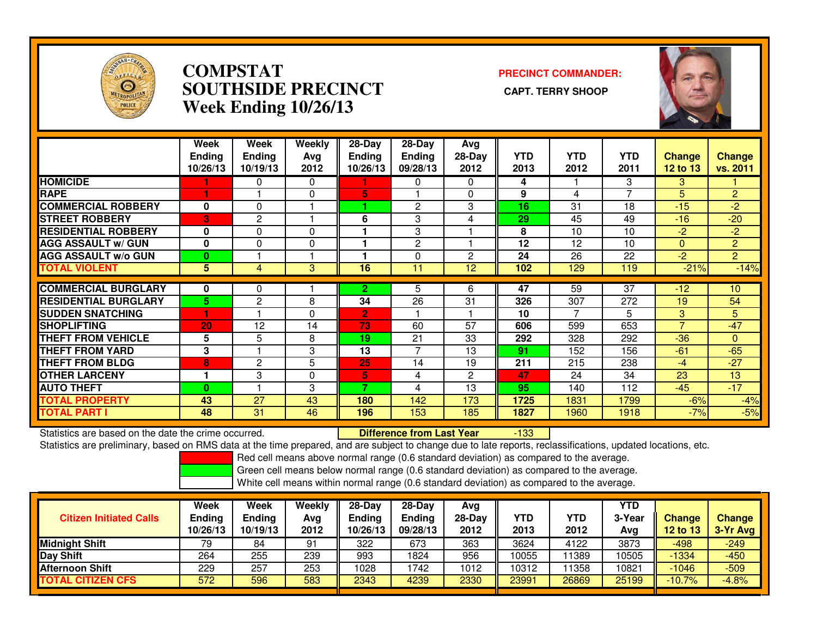

## **COMPSTAT PRECINCT COMMANDER: SOUTHSIDE PRECINCT CAPT. TERRY SHOOPWeek Ending 10/26/13**



|                             | Week<br><b>Endina</b><br>10/26/13 | Week<br><b>Ending</b><br>10/19/13 | <b>Weekly</b><br>Ava<br>2012 | $28-Day$<br>Endina<br>10/26/13 | $28$ -Day<br><b>Endina</b><br>09/28/13 | Avg<br>28-Day<br>2012 | <b>YTD</b><br>2013 | <b>YTD</b><br>2012 | <b>YTD</b><br>2011 | <b>Change</b><br>12 to 13 | Change<br>vs. 2011 |
|-----------------------------|-----------------------------------|-----------------------------------|------------------------------|--------------------------------|----------------------------------------|-----------------------|--------------------|--------------------|--------------------|---------------------------|--------------------|
| <b>HOMICIDE</b>             |                                   | 0                                 | 0                            |                                | 0                                      | 0                     | 4                  |                    | 3                  | 3                         |                    |
| <b>RAPE</b>                 |                                   |                                   | 0                            | 5                              |                                        | $\Omega$              | 9                  | 4                  |                    | 5                         | $\overline{2}$     |
| <b>COMMERCIAL ROBBERY</b>   | 0                                 | $\Omega$                          |                              |                                | 2                                      | 3                     | 16                 | 31                 | 18                 | $-15$                     | $-2$               |
| <b>ISTREET ROBBERY</b>      | 3                                 | 2                                 |                              | 6                              | 3                                      |                       | 29                 | 45                 | 49                 | $-16$                     | $-20$              |
| <b>RESIDENTIAL ROBBERY</b>  | $\bf{0}$                          | $\Omega$                          | $\Omega$                     |                                | 3                                      |                       | 8                  | 10                 | 10                 | $-2$                      | $-2$               |
| <b>AGG ASSAULT w/ GUN</b>   | $\bf{0}$                          | 0                                 | 0                            |                                | $\overline{c}$                         |                       | 12                 | 12                 | 10                 | $\Omega$                  | $\overline{2}$     |
| <b>AGG ASSAULT w/o GUN</b>  | 0                                 |                                   |                              |                                | $\Omega$                               | $\overline{c}$        | 24                 | 26                 | 22                 | $-2$                      | $\overline{2}$     |
| <b>TOTAL VIOLENT</b>        | 5                                 | 4                                 | 3                            | 16                             | 11                                     | 12                    | 102                | 129                | 119                | $-21%$                    | $-14%$             |
|                             |                                   |                                   |                              |                                |                                        |                       |                    |                    |                    |                           |                    |
| <b>COMMERCIAL BURGLARY</b>  | 0                                 | 0                                 |                              | 2.                             | 5                                      | 6                     | 47                 | 59                 | 37                 | $-12$                     | 10                 |
| <b>RESIDENTIAL BURGLARY</b> | 5.                                | $\overline{c}$                    | 8                            | 34                             | 26                                     | 31                    | 326                | 307                | 272                | 19                        | 54                 |
| <b>SUDDEN SNATCHING</b>     | н                                 |                                   | 0                            | 2                              |                                        |                       | 10                 |                    | 5                  | 3                         | 5                  |
| <b>SHOPLIFTING</b>          | 20                                | 12                                | 14                           | 73                             | 60                                     | 57                    | 606                | 599                | 653                | $\overline{7}$            | $-47$              |
| <b>THEFT FROM VEHICLE</b>   | 5                                 | 5                                 | 8                            | 19                             | 21                                     | 33                    | 292                | 328                | 292                | $-36$                     | $\Omega$           |
| <b>THEFT FROM YARD</b>      | 3                                 |                                   | 3                            | 13                             | $\overline{7}$                         | 13                    | 91                 | 152                | 156                | $-61$                     | $-65$              |
| <b>THEFT FROM BLDG</b>      | 8                                 | 2                                 | 5                            | 25                             | 14                                     | 19                    | 211                | 215                | 238                | $-4$                      | $-27$              |
| <b>OTHER LARCENY</b>        | 1                                 | 3                                 | $\Omega$                     | 5                              | 4                                      | $\mathbf{2}$          | 47                 | 24                 | 34                 | 23                        | 13                 |
| <b>AUTO THEFT</b>           | $\bf{0}$                          |                                   | 3                            | 7                              | 4                                      | 13                    | 95                 | 140                | 112                | $-45$                     | $-17$              |
| <b>TOTAL PROPERTY</b>       | 43                                | 27                                | 43                           | 180                            | 142                                    | 173                   | 1725               | 1831               | 1799               | $-6%$                     | $-4%$              |
| <b>TOTAL PART I</b>         | 48                                | 31                                | 46                           | 196                            | 153                                    | 185                   | 1827               | 1960               | 1918               | $-7%$                     | $-5%$              |

Statistics are based on the date the crime occurred. **Difference from Last Year** 

-133

Statistics are preliminary, based on RMS data at the time prepared, and are subject to change due to late reports, reclassifications, updated locations, etc.

Red cell means above normal range (0.6 standard deviation) as compared to the average.

Green cell means below normal range (0.6 standard deviation) as compared to the average.

| <b>Citizen Initiated Calls</b> | Week<br><b>Ending</b><br>10/26/13 | Week<br><b>Ending</b><br>10/19/13 | Weekly<br>Avg<br>2012 | $28-Day$<br>Ending<br>10/26/13 | 28-Dav<br><b>Ending</b><br>09/28/13 | Avg<br>$28-Dav$<br>2012 | YTD<br>2013 | YTD<br>2012 | <b>YTD</b><br>3-Year<br>Avg | <b>Change</b><br>12 to 13 | <b>Change</b><br>3-Yr Avg |
|--------------------------------|-----------------------------------|-----------------------------------|-----------------------|--------------------------------|-------------------------------------|-------------------------|-------------|-------------|-----------------------------|---------------------------|---------------------------|
| <b>Midnight Shift</b>          | 79                                | 84                                | 91                    | 322                            | 673                                 | 363                     | 3624        | 4122        | 3873                        | -498                      | $-249$                    |
| Day Shift                      | 264                               | 255                               | 239                   | 993                            | 1824                                | 956                     | 10055       | 11389       | 10505                       | $-1334$                   | -450                      |
| <b>Afternoon Shift</b>         | 229                               | 257                               | 253                   | 1028                           | 742                                 | 1012                    | 10312       | 1358        | 10821                       | $-1046$                   | $-509$                    |
| <b>TOTAL CITIZEN CFS</b>       | 572                               | 596                               | 583                   | 2343                           | 4239                                | 2330                    | 23991       | 26869       | 25199                       | $-10.7%$                  | $-4.8%$                   |